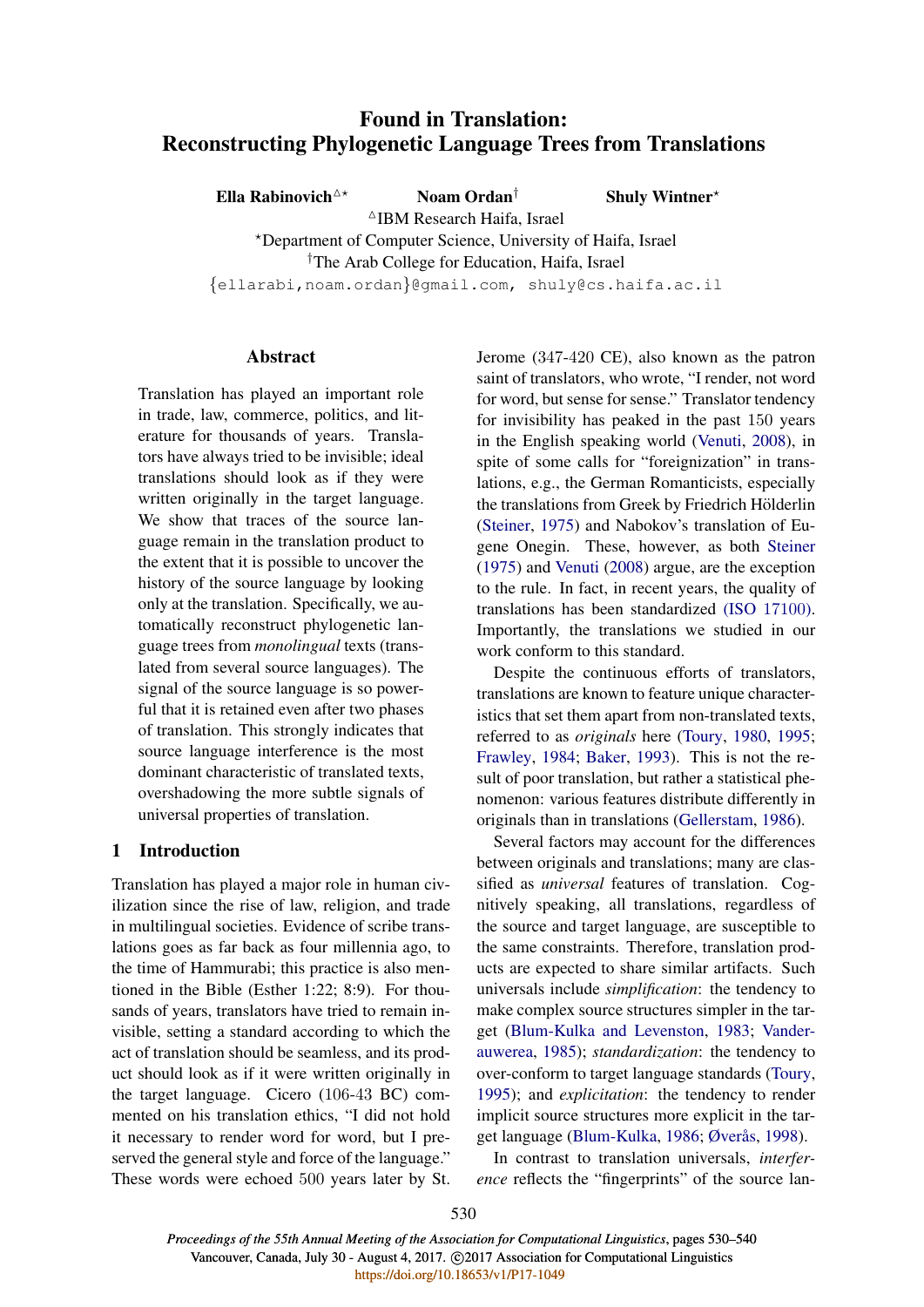# Found in Translation: Reconstructing Phylogenetic Language Trees from Translations

Ella Rabinovich<sup> $\Delta \star$ </sup> Noam Ordan<sup>†</sup> Shuly Wintner<sup>\*</sup>  $\triangle$ IBM Research Haifa, Israel ?Department of Computer Science, University of Haifa, Israel †The Arab College for Education, Haifa, Israel

{ellarabi,noam.ordan}@gmail.com, shuly@cs.haifa.ac.il

### Abstract

Translation has played an important role in trade, law, commerce, politics, and literature for thousands of years. Translators have always tried to be invisible; ideal translations should look as if they were written originally in the target language. We show that traces of the source language remain in the translation product to the extent that it is possible to uncover the history of the source language by looking only at the translation. Specifically, we automatically reconstruct phylogenetic language trees from *monolingual* texts (translated from several source languages). The signal of the source language is so powerful that it is retained even after two phases of translation. This strongly indicates that source language interference is the most dominant characteristic of translated texts, overshadowing the more subtle signals of universal properties of translation.

# 1 Introduction

Translation has played a major role in human civilization since the rise of law, religion, and trade in multilingual societies. Evidence of scribe translations goes as far back as four millennia ago, to the time of Hammurabi; this practice is also mentioned in the Bible (Esther 1:22; 8:9). For thousands of years, translators have tried to remain invisible, setting a standard according to which the act of translation should be seamless, and its product should look as if it were written originally in the target language. Cicero (106-43 BC) commented on his translation ethics, "I did not hold it necessary to render word for word, but I preserved the general style and force of the language." These words were echoed 500 years later by St. Jerome (347-420 CE), also known as the patron saint of translators, who wrote, "I render, not word for word, but sense for sense." Translator tendency for invisibility has peaked in the past 150 years in the English speaking world (Venuti, 2008), in spite of some calls for "foreignization" in translations, e.g., the German Romanticists, especially the translations from Greek by Friedrich Hölderlin (Steiner, 1975) and Nabokov's translation of Eugene Onegin. These, however, as both Steiner (1975) and Venuti (2008) argue, are the exception to the rule. In fact, in recent years, the quality of translations has been standardized (ISO 17100). Importantly, the translations we studied in our work conform to this standard.

Despite the continuous efforts of translators, translations are known to feature unique characteristics that set them apart from non-translated texts, referred to as *originals* here (Toury, 1980, 1995; Frawley, 1984; Baker, 1993). This is not the result of poor translation, but rather a statistical phenomenon: various features distribute differently in originals than in translations (Gellerstam, 1986).

Several factors may account for the differences between originals and translations; many are classified as *universal* features of translation. Cognitively speaking, all translations, regardless of the source and target language, are susceptible to the same constraints. Therefore, translation products are expected to share similar artifacts. Such universals include *simplification*: the tendency to make complex source structures simpler in the target (Blum-Kulka and Levenston, 1983; Vanderauwerea, 1985); *standardization*: the tendency to over-conform to target language standards (Toury, 1995); and *explicitation*: the tendency to render implicit source structures more explicit in the target language (Blum-Kulka, 1986; Øverås, 1998).

In contrast to translation universals, *interference* reflects the "fingerprints" of the source lan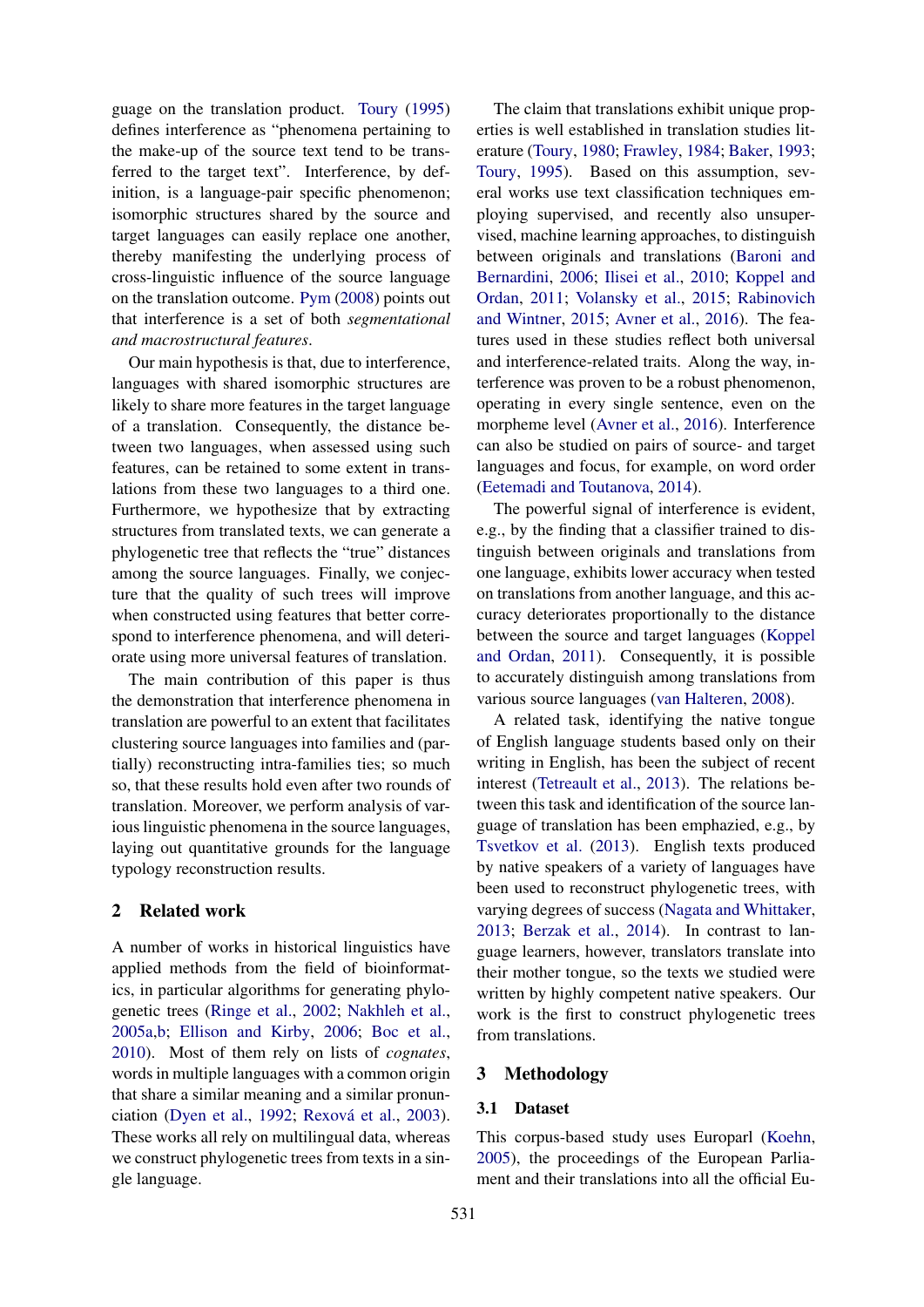guage on the translation product. Toury (1995) defines interference as "phenomena pertaining to the make-up of the source text tend to be transferred to the target text". Interference, by definition, is a language-pair specific phenomenon; isomorphic structures shared by the source and target languages can easily replace one another, thereby manifesting the underlying process of cross-linguistic influence of the source language on the translation outcome. Pym (2008) points out that interference is a set of both *segmentational and macrostructural features*.

Our main hypothesis is that, due to interference, languages with shared isomorphic structures are likely to share more features in the target language of a translation. Consequently, the distance between two languages, when assessed using such features, can be retained to some extent in translations from these two languages to a third one. Furthermore, we hypothesize that by extracting structures from translated texts, we can generate a phylogenetic tree that reflects the "true" distances among the source languages. Finally, we conjecture that the quality of such trees will improve when constructed using features that better correspond to interference phenomena, and will deteriorate using more universal features of translation.

The main contribution of this paper is thus the demonstration that interference phenomena in translation are powerful to an extent that facilitates clustering source languages into families and (partially) reconstructing intra-families ties; so much so, that these results hold even after two rounds of translation. Moreover, we perform analysis of various linguistic phenomena in the source languages, laying out quantitative grounds for the language typology reconstruction results.

# 2 Related work

A number of works in historical linguistics have applied methods from the field of bioinformatics, in particular algorithms for generating phylogenetic trees (Ringe et al., 2002; Nakhleh et al., 2005a,b; Ellison and Kirby, 2006; Boc et al., 2010). Most of them rely on lists of *cognates*, words in multiple languages with a common origin that share a similar meaning and a similar pronunciation (Dyen et al., 1992; Rexová et al., 2003). These works all rely on multilingual data, whereas we construct phylogenetic trees from texts in a single language.

The claim that translations exhibit unique properties is well established in translation studies literature (Toury, 1980; Frawley, 1984; Baker, 1993; Toury, 1995). Based on this assumption, several works use text classification techniques employing supervised, and recently also unsupervised, machine learning approaches, to distinguish between originals and translations (Baroni and Bernardini, 2006; Ilisei et al., 2010; Koppel and Ordan, 2011; Volansky et al., 2015; Rabinovich and Wintner, 2015; Avner et al., 2016). The features used in these studies reflect both universal and interference-related traits. Along the way, interference was proven to be a robust phenomenon, operating in every single sentence, even on the morpheme level (Avner et al., 2016). Interference can also be studied on pairs of source- and target languages and focus, for example, on word order (Eetemadi and Toutanova, 2014).

The powerful signal of interference is evident, e.g., by the finding that a classifier trained to distinguish between originals and translations from one language, exhibits lower accuracy when tested on translations from another language, and this accuracy deteriorates proportionally to the distance between the source and target languages (Koppel and Ordan, 2011). Consequently, it is possible to accurately distinguish among translations from various source languages (van Halteren, 2008).

A related task, identifying the native tongue of English language students based only on their writing in English, has been the subject of recent interest (Tetreault et al., 2013). The relations between this task and identification of the source language of translation has been emphazied, e.g., by Tsvetkov et al. (2013). English texts produced by native speakers of a variety of languages have been used to reconstruct phylogenetic trees, with varying degrees of success (Nagata and Whittaker, 2013; Berzak et al., 2014). In contrast to language learners, however, translators translate into their mother tongue, so the texts we studied were written by highly competent native speakers. Our work is the first to construct phylogenetic trees from translations.

## 3 Methodology

### 3.1 Dataset

This corpus-based study uses Europarl (Koehn, 2005), the proceedings of the European Parliament and their translations into all the official Eu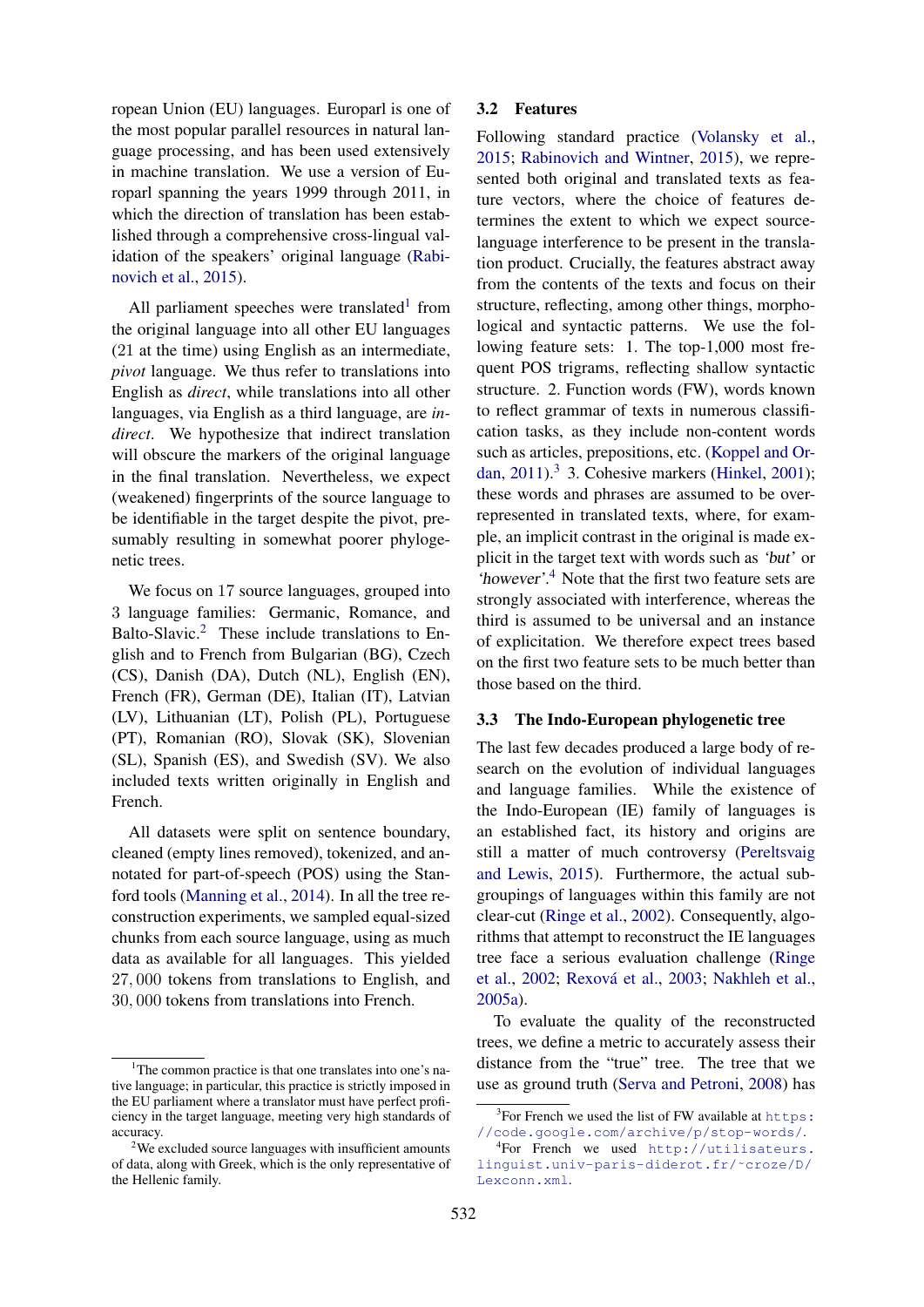ropean Union (EU) languages. Europarl is one of the most popular parallel resources in natural language processing, and has been used extensively in machine translation. We use a version of Europarl spanning the years 1999 through 2011, in which the direction of translation has been established through a comprehensive cross-lingual validation of the speakers' original language (Rabinovich et al., 2015).

All parliament speeches were translated<sup>1</sup> from the original language into all other EU languages (21 at the time) using English as an intermediate, *pivot* language. We thus refer to translations into English as *direct*, while translations into all other languages, via English as a third language, are *indirect*. We hypothesize that indirect translation will obscure the markers of the original language in the final translation. Nevertheless, we expect (weakened) fingerprints of the source language to be identifiable in the target despite the pivot, presumably resulting in somewhat poorer phylogenetic trees.

We focus on 17 source languages, grouped into 3 language families: Germanic, Romance, and Balto-Slavic.<sup>2</sup> These include translations to English and to French from Bulgarian (BG), Czech (CS), Danish (DA), Dutch (NL), English (EN), French (FR), German (DE), Italian (IT), Latvian (LV), Lithuanian (LT), Polish (PL), Portuguese (PT), Romanian (RO), Slovak (SK), Slovenian (SL), Spanish (ES), and Swedish (SV). We also included texts written originally in English and French.

All datasets were split on sentence boundary, cleaned (empty lines removed), tokenized, and annotated for part-of-speech (POS) using the Stanford tools (Manning et al., 2014). In all the tree reconstruction experiments, we sampled equal-sized chunks from each source language, using as much data as available for all languages. This yielded 27, 000 tokens from translations to English, and 30, 000 tokens from translations into French.

### 3.2 Features

Following standard practice (Volansky et al., 2015; Rabinovich and Wintner, 2015), we represented both original and translated texts as feature vectors, where the choice of features determines the extent to which we expect sourcelanguage interference to be present in the translation product. Crucially, the features abstract away from the contents of the texts and focus on their structure, reflecting, among other things, morphological and syntactic patterns. We use the following feature sets: 1. The top-1,000 most frequent POS trigrams, reflecting shallow syntactic structure. 2. Function words (FW), words known to reflect grammar of texts in numerous classification tasks, as they include non-content words such as articles, prepositions, etc. (Koppel and Ordan,  $2011$ ).<sup>3</sup> 3. Cohesive markers (Hinkel,  $2001$ ); these words and phrases are assumed to be overrepresented in translated texts, where, for example, an implicit contrast in the original is made explicit in the target text with words such as 'but' or 'however'. <sup>4</sup> Note that the first two feature sets are strongly associated with interference, whereas the third is assumed to be universal and an instance of explicitation. We therefore expect trees based on the first two feature sets to be much better than those based on the third.

### 3.3 The Indo-European phylogenetic tree

The last few decades produced a large body of research on the evolution of individual languages and language families. While the existence of the Indo-European (IE) family of languages is an established fact, its history and origins are still a matter of much controversy (Pereltsvaig and Lewis, 2015). Furthermore, the actual subgroupings of languages within this family are not clear-cut (Ringe et al., 2002). Consequently, algorithms that attempt to reconstruct the IE languages tree face a serious evaluation challenge (Ringe et al., 2002; Rexová et al., 2003; Nakhleh et al., 2005a).

To evaluate the quality of the reconstructed trees, we define a metric to accurately assess their distance from the "true" tree. The tree that we use as ground truth (Serva and Petroni, 2008) has

<sup>&</sup>lt;sup>1</sup>The common practice is that one translates into one's native language; in particular, this practice is strictly imposed in the EU parliament where a translator must have perfect proficiency in the target language, meeting very high standards of accuracy.

<sup>&</sup>lt;sup>2</sup>We excluded source languages with insufficient amounts of data, along with Greek, which is the only representative of the Hellenic family.

 $3$ For French we used the list of FW available at https: //code.google.com/archive/p/stop-words/.

<sup>4</sup> For French we used http://utilisateurs. linguist.univ-paris-diderot.fr/˜croze/D/ Lexconn.xml.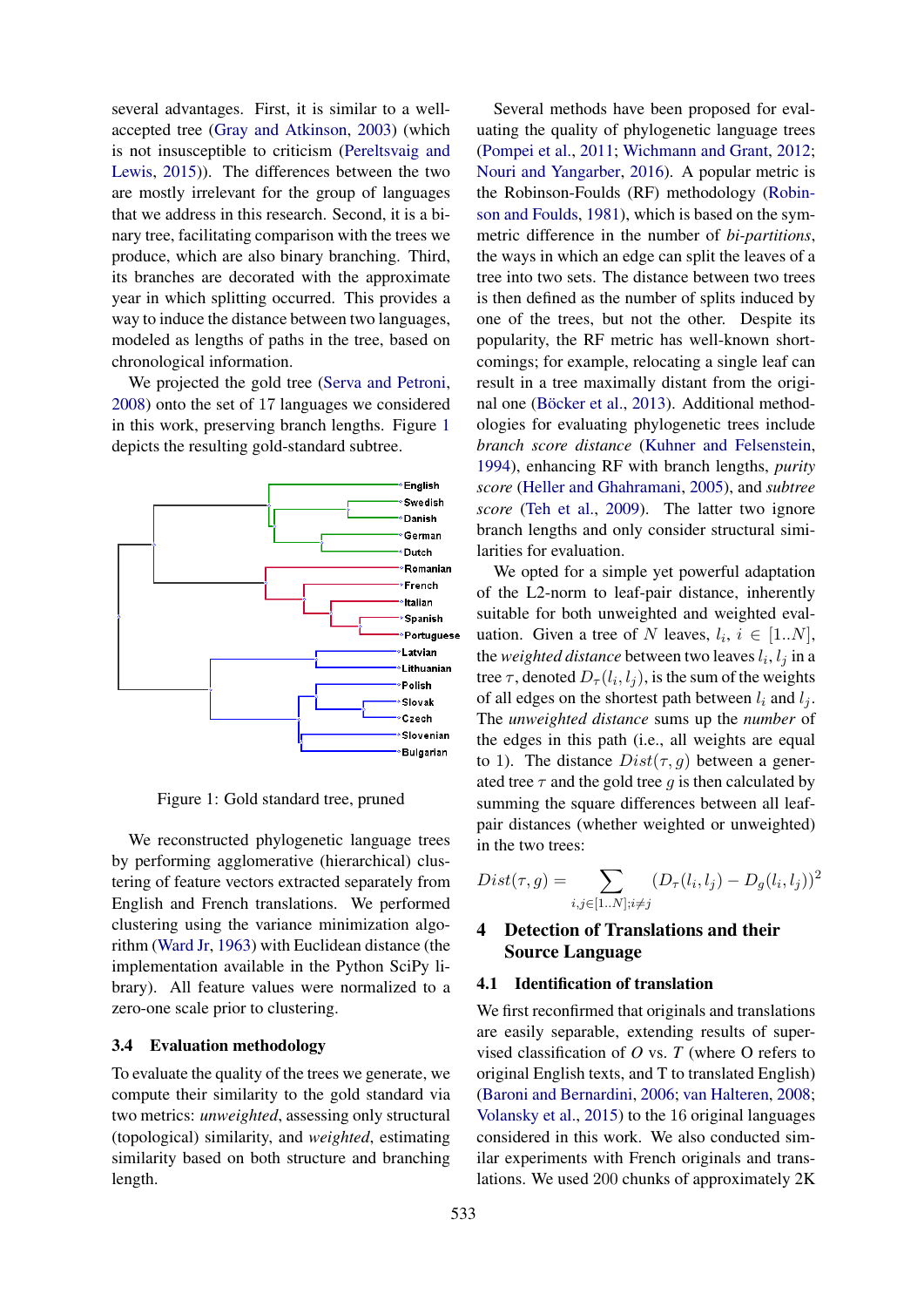several advantages. First, it is similar to a wellaccepted tree (Gray and Atkinson, 2003) (which is not insusceptible to criticism (Pereltsvaig and Lewis, 2015)). The differences between the two are mostly irrelevant for the group of languages that we address in this research. Second, it is a binary tree, facilitating comparison with the trees we produce, which are also binary branching. Third, its branches are decorated with the approximate year in which splitting occurred. This provides a way to induce the distance between two languages, modeled as lengths of paths in the tree, based on chronological information.

We projected the gold tree (Serva and Petroni, 2008) onto the set of 17 languages we considered in this work, preserving branch lengths. Figure 1 depicts the resulting gold-standard subtree.



Figure 1: Gold standard tree, pruned

We reconstructed phylogenetic language trees by performing agglomerative (hierarchical) clustering of feature vectors extracted separately from English and French translations. We performed clustering using the variance minimization algorithm (Ward Jr, 1963) with Euclidean distance (the implementation available in the Python SciPy library). All feature values were normalized to a zero-one scale prior to clustering.

### 3.4 Evaluation methodology

To evaluate the quality of the trees we generate, we compute their similarity to the gold standard via two metrics: *unweighted*, assessing only structural (topological) similarity, and *weighted*, estimating similarity based on both structure and branching length.

Several methods have been proposed for evaluating the quality of phylogenetic language trees (Pompei et al., 2011; Wichmann and Grant, 2012; Nouri and Yangarber, 2016). A popular metric is the Robinson-Foulds (RF) methodology (Robinson and Foulds, 1981), which is based on the symmetric difference in the number of *bi-partitions*, the ways in which an edge can split the leaves of a tree into two sets. The distance between two trees is then defined as the number of splits induced by one of the trees, but not the other. Despite its popularity, the RF metric has well-known shortcomings; for example, relocating a single leaf can result in a tree maximally distant from the original one (Böcker et al., 2013). Additional methodologies for evaluating phylogenetic trees include *branch score distance* (Kuhner and Felsenstein, 1994), enhancing RF with branch lengths, *purity score* (Heller and Ghahramani, 2005), and *subtree score* (Teh et al., 2009). The latter two ignore branch lengths and only consider structural similarities for evaluation.

We opted for a simple yet powerful adaptation of the L2-norm to leaf-pair distance, inherently suitable for both unweighted and weighted evaluation. Given a tree of N leaves,  $l_i$ ,  $i \in [1..N]$ , the *weighted distance* between two leaves  $l_i, l_j$  in a tree  $\tau$ , denoted  $D_{\tau}(l_i, l_j)$ , is the sum of the weights of all edges on the shortest path between  $l_i$  and  $l_j$ . The *unweighted distance* sums up the *number* of the edges in this path (i.e., all weights are equal to 1). The distance  $Dist(\tau, g)$  between a generated tree  $\tau$  and the gold tree g is then calculated by summing the square differences between all leafpair distances (whether weighted or unweighted) in the two trees:

$$
Dist(\tau, g) = \sum_{i, j \in [1..N]; i \neq j} (D_{\tau}(l_i, l_j) - D_g(l_i, l_j))^2
$$

# 4 Detection of Translations and their Source Language

### 4.1 Identification of translation

We first reconfirmed that originals and translations are easily separable, extending results of supervised classification of *O* vs. *T* (where O refers to original English texts, and T to translated English) (Baroni and Bernardini, 2006; van Halteren, 2008; Volansky et al., 2015) to the 16 original languages considered in this work. We also conducted similar experiments with French originals and translations. We used 200 chunks of approximately 2K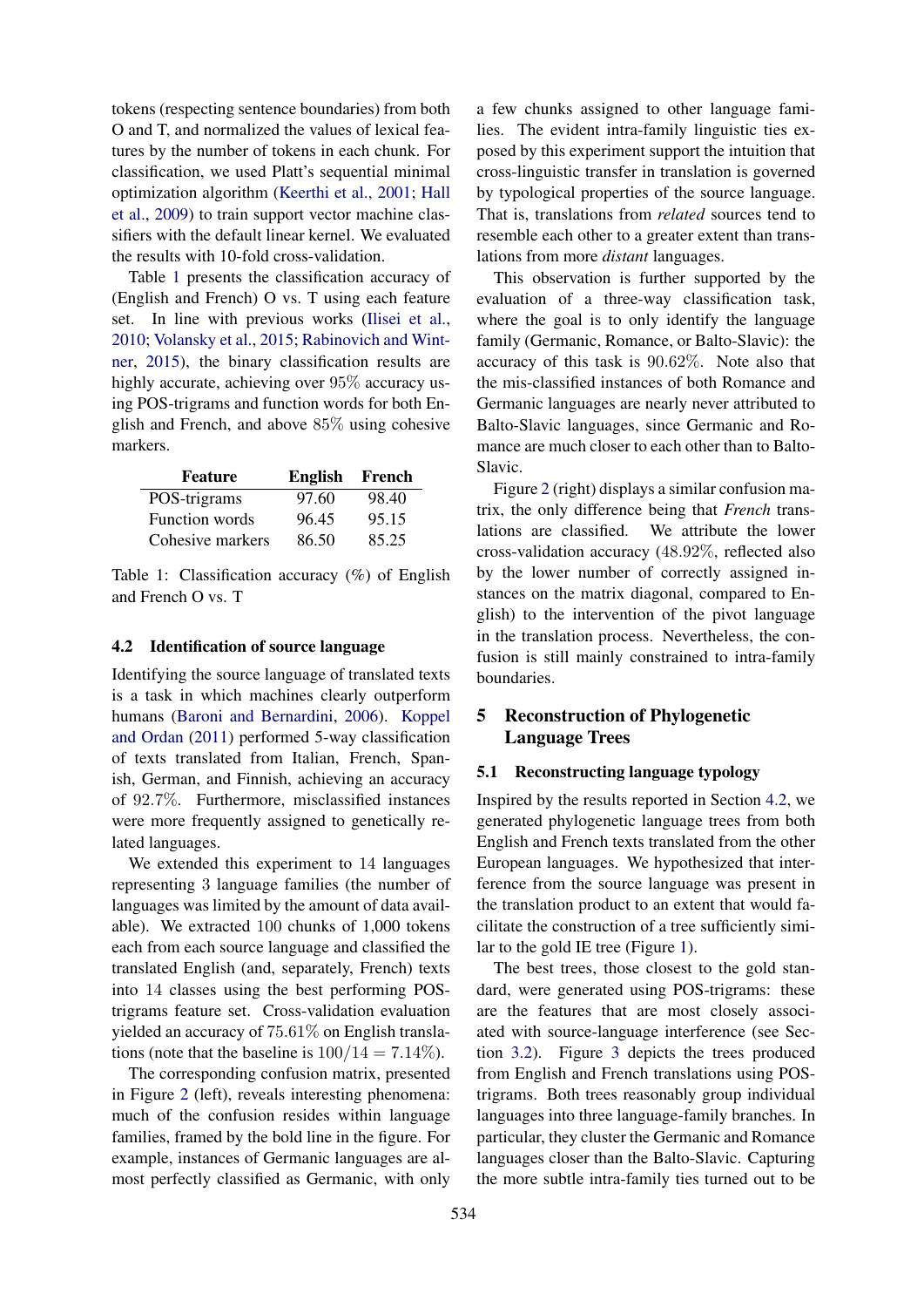tokens (respecting sentence boundaries) from both O and T, and normalized the values of lexical features by the number of tokens in each chunk. For classification, we used Platt's sequential minimal optimization algorithm (Keerthi et al., 2001; Hall et al., 2009) to train support vector machine classifiers with the default linear kernel. We evaluated the results with 10-fold cross-validation.

Table 1 presents the classification accuracy of (English and French) O vs. T using each feature set. In line with previous works (Ilisei et al., 2010; Volansky et al., 2015; Rabinovich and Wintner, 2015), the binary classification results are highly accurate, achieving over 95% accuracy using POS-trigrams and function words for both English and French, and above 85% using cohesive markers.

| <b>Feature</b>        | <b>English</b> | French |
|-----------------------|----------------|--------|
| POS-trigrams          | 97.60          | 98.40  |
| <b>Function words</b> | 96.45          | 95.15  |
| Cohesive markers      | 86.50          | 85.25  |

Table 1: Classification accuracy (%) of English and French O vs. T

### 4.2 Identification of source language

Identifying the source language of translated texts is a task in which machines clearly outperform humans (Baroni and Bernardini, 2006). Koppel and Ordan (2011) performed 5-way classification of texts translated from Italian, French, Spanish, German, and Finnish, achieving an accuracy of 92.7%. Furthermore, misclassified instances were more frequently assigned to genetically related languages.

We extended this experiment to 14 languages representing 3 language families (the number of languages was limited by the amount of data available). We extracted 100 chunks of 1,000 tokens each from each source language and classified the translated English (and, separately, French) texts into 14 classes using the best performing POStrigrams feature set. Cross-validation evaluation yielded an accuracy of 75.61% on English translations (note that the baseline is  $100/14 = 7.14\%$ ).

The corresponding confusion matrix, presented in Figure 2 (left), reveals interesting phenomena: much of the confusion resides within language families, framed by the bold line in the figure. For example, instances of Germanic languages are almost perfectly classified as Germanic, with only

a few chunks assigned to other language families. The evident intra-family linguistic ties exposed by this experiment support the intuition that cross-linguistic transfer in translation is governed by typological properties of the source language. That is, translations from *related* sources tend to resemble each other to a greater extent than translations from more *distant* languages.

This observation is further supported by the evaluation of a three-way classification task, where the goal is to only identify the language family (Germanic, Romance, or Balto-Slavic): the accuracy of this task is 90.62%. Note also that the mis-classified instances of both Romance and Germanic languages are nearly never attributed to Balto-Slavic languages, since Germanic and Romance are much closer to each other than to Balto-Slavic.

Figure 2 (right) displays a similar confusion matrix, the only difference being that *French* translations are classified. We attribute the lower cross-validation accuracy (48.92%, reflected also by the lower number of correctly assigned instances on the matrix diagonal, compared to English) to the intervention of the pivot language in the translation process. Nevertheless, the confusion is still mainly constrained to intra-family boundaries.

# 5 Reconstruction of Phylogenetic Language Trees

# 5.1 Reconstructing language typology

Inspired by the results reported in Section 4.2, we generated phylogenetic language trees from both English and French texts translated from the other European languages. We hypothesized that interference from the source language was present in the translation product to an extent that would facilitate the construction of a tree sufficiently similar to the gold IE tree (Figure 1).

The best trees, those closest to the gold standard, were generated using POS-trigrams: these are the features that are most closely associated with source-language interference (see Section 3.2). Figure 3 depicts the trees produced from English and French translations using POStrigrams. Both trees reasonably group individual languages into three language-family branches. In particular, they cluster the Germanic and Romance languages closer than the Balto-Slavic. Capturing the more subtle intra-family ties turned out to be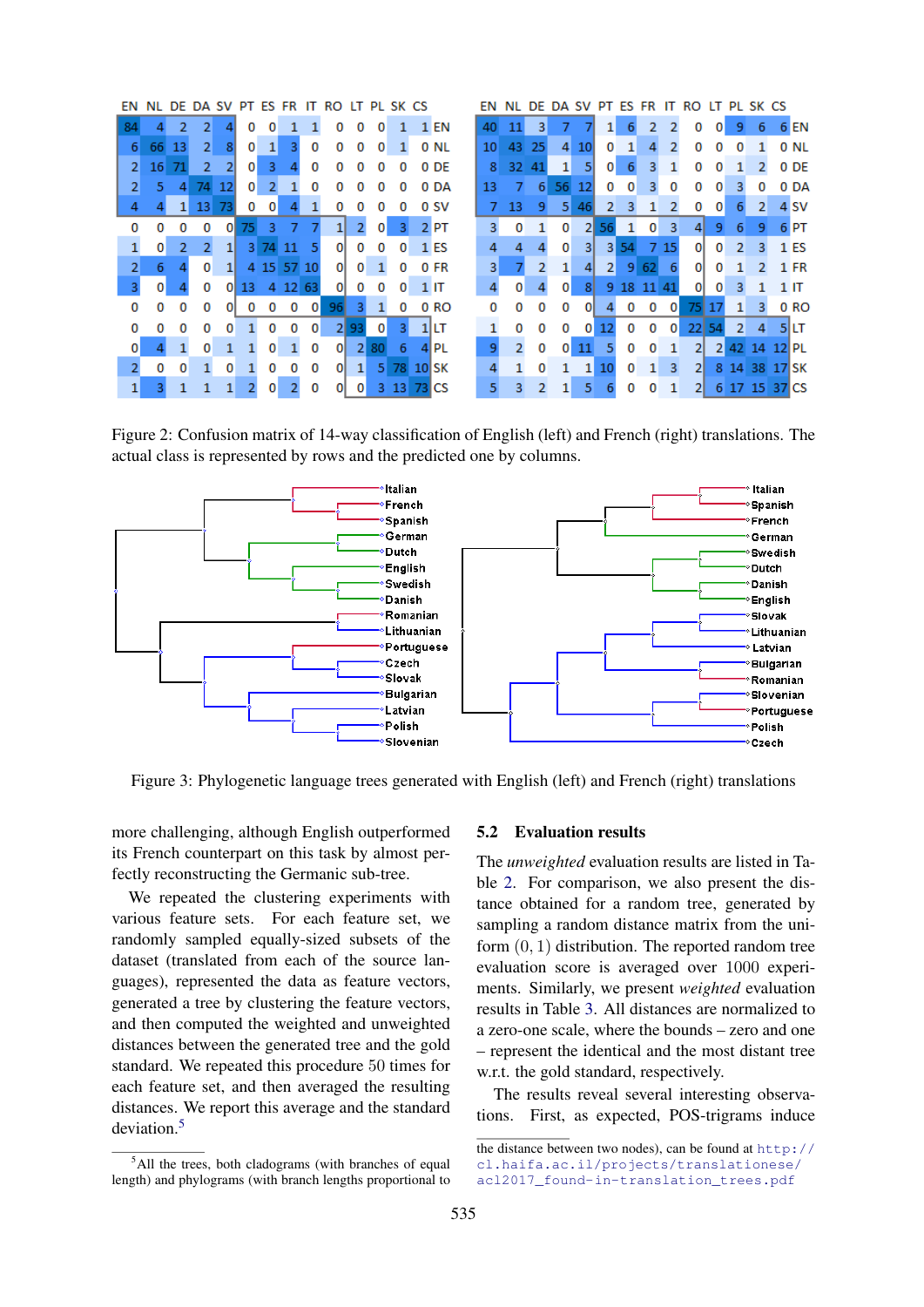| ΕN             | NL. |    |                |                |              |                |                 |     | DE DA SV PT ES FR IT RO LT PL SK CS |      |                |              |                  | ΕN |    |         |          |                 |              |       |     |                         | DE DA SV PT ES FR IT RO LT PL SK CS |    |                |          |           |                  |
|----------------|-----|----|----------------|----------------|--------------|----------------|-----------------|-----|-------------------------------------|------|----------------|--------------|------------------|----|----|---------|----------|-----------------|--------------|-------|-----|-------------------------|-------------------------------------|----|----------------|----------|-----------|------------------|
| 84             |     | 2  | 2              |                | 0            | 0              |                 |     | 0                                   | 0    | 0              |              | 1 EN             | 40 |    | 3<br>11 |          |                 |              | 6     | 2   |                         | 0                                   | 0  | 9              | 6        |           | $6$ EN           |
| 6              | 66  | 13 | 2 <sup>1</sup> | 8              | 0            | 1              | 3               | 0   | 0                                   | 0    | 0              |              | 0 NL             | 10 | 43 | 25      | 4        | 10 <sup>1</sup> | 0            |       | 4   | 2                       | 0                                   | 0  | 0              |          |           | 0 N <sub>L</sub> |
| $\overline{2}$ | 16  | 71 | $\overline{2}$ | $\overline{2}$ | 0            | 3              |                 | 0   | o                                   |      | 0              | 0            | 0 DE             | 8  | 32 | 41      | 1        | 51              | $\mathbf{0}$ | 6     | 3   |                         | 0                                   | 0  |                |          |           | 0 DE             |
| $\overline{2}$ | 5   | 4  | 74             | 12             | $\mathbf{0}$ | $\overline{2}$ |                 | 0   | o                                   |      |                | 0            | 0 DA             | 13 |    | 6<br>7  | 56       | 12              | 0            | 0     | 3.  | 0                       | 0                                   | 0  | з              | o        |           | 0 DA             |
| 4              |     |    | 13             | 73             | 0            | 0              |                 |     |                                     |      |                | 0            | 0 SV             |    | 13 |         | 5        | 46              | 2            |       |     |                         | 0                                   | 0  | 6              | 2        |           | 4 <sub>SV</sub>  |
| o              |     |    | 0              | 0              | 75           | з              |                 |     |                                     |      | $\mathbf{0}$   | 3            | $2$ PT           |    | 3  | 0       | 0        | 21              | 56           |       | 0   | $\overline{\mathbf{3}}$ | $\vert$                             | 9  | 6              | 9        |           | $6$ PT           |
|                | 0   | 2  | 2              | 11             | 31           | 74.            | -11             |     | $\overline{0}$                      | 0    | 0              | $\mathbf{0}$ | $1$ ES           | 4  |    | 4       | $\Omega$ | 31              | 31           | 54    |     | 7 15                    | οI                                  | 0  | $\overline{2}$ | 3        |           | $1$ ES           |
| $\overline{2}$ | 6   |    | $\Omega$       | $\mathbf{1}$   | 4            |                | 15 57           | 10  | οI                                  | 0    |                | 0            | 0 FR             |    | 3  | 2       | 1        |                 | 21           | 9     | 62  |                         | $\overline{0}$                      | 0  |                | 2        |           | $1$ FR           |
| 3.             | 0   |    | n              | $\mathbf{0}$   | 13           | 4              | 12 <sup>1</sup> | -63 | 0                                   | 0    | 0              | 0            | 1 IT             | 4  |    | 0       | 0        | 8               | 9            | $-18$ | -11 | 41                      | οı                                  | 0  | 3.             |          |           | 1 IT             |
| 0              | 0   | 0  | 0              | $\mathbf{0}$   | 0            | 0              | 0               | 0   | 96                                  | 3    |                | 0            | 0 RO             |    |    | o<br>0  | 0        | 01              |              | 0     | 0   | 0                       | 751                                 | 17 | 1              | 3.       |           | 0 <sub>RO</sub>  |
| 0              |     | n  |                | o              |              | 0              | 0               | 0   |                                     | 2 93 | $\overline{0}$ | 3            | $1$ ILT          |    |    | o<br>o  | $\Omega$ | 0               |              | o     | 0   | $\mathbf{0}$            | 22                                  | 54 | $\overline{2}$ | 4        |           | 5ILT             |
| $\overline{0}$ |     |    | 0              |                |              | 0              |                 | 0   | 0l                                  | 21   | 80             | 6            | 4 PL             |    | 9  | ヮ<br>o  | 0        | $11^{\circ}$    |              | 0     | 0   |                         | 2                                   |    | 2 42           | 14       | $12$ $PL$ |                  |
| $\mathcal{P}$  | o   | o  |                | $\Omega$       |              | Ω              |                 | 0   | $\Omega$                            | 1    | 5 <sub>1</sub> | 78.          | 10 <sub>SK</sub> | Δ  |    | 0       |          |                 | 10           | 0     |     | 3                       | 2                                   | 8  | 14             | 38       | 17 SK     |                  |
| $\mathbf{1}$   |     |    |                |                |              | o              |                 | 0   | 0                                   | 0    |                | 3 13 73 CS   |                  |    |    |         |          |                 |              |       | 0   |                         | 2                                   | 6  |                | 17 15 37 |           | 'I CS            |

Figure 2: Confusion matrix of 14-way classification of English (left) and French (right) translations. The actual class is represented by rows and the predicted one by columns.



Figure 3: Phylogenetic language trees generated with English (left) and French (right) translations

more challenging, although English outperformed its French counterpart on this task by almost perfectly reconstructing the Germanic sub-tree.

We repeated the clustering experiments with various feature sets. For each feature set, we randomly sampled equally-sized subsets of the dataset (translated from each of the source languages), represented the data as feature vectors, generated a tree by clustering the feature vectors, and then computed the weighted and unweighted distances between the generated tree and the gold standard. We repeated this procedure 50 times for each feature set, and then averaged the resulting distances. We report this average and the standard deviation.<sup>5</sup>

### 5.2 Evaluation results

The *unweighted* evaluation results are listed in Table 2. For comparison, we also present the distance obtained for a random tree, generated by sampling a random distance matrix from the uniform  $(0, 1)$  distribution. The reported random tree evaluation score is averaged over 1000 experiments. Similarly, we present *weighted* evaluation results in Table 3. All distances are normalized to a zero-one scale, where the bounds – zero and one – represent the identical and the most distant tree w.r.t. the gold standard, respectively.

The results reveal several interesting observations. First, as expected, POS-trigrams induce

<sup>&</sup>lt;sup>5</sup>All the trees, both cladograms (with branches of equal length) and phylograms (with branch lengths proportional to

the distance between two nodes), can be found at  $http://$ cl.haifa.ac.il/projects/translationese/ acl2017\_found-in-translation\_trees.pdf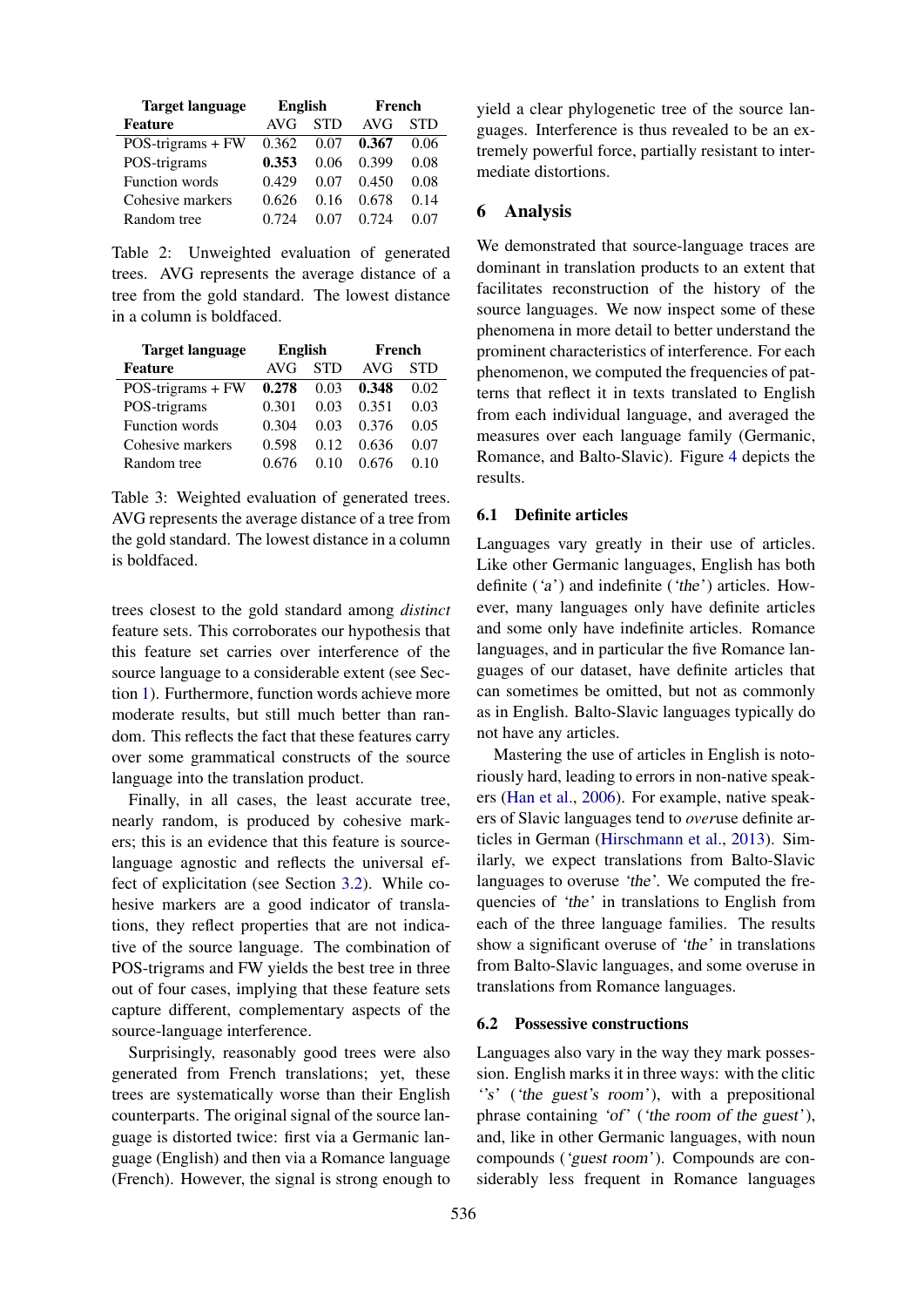| <b>Target language</b> | <b>English</b> |            | French     |            |
|------------------------|----------------|------------|------------|------------|
| <b>Feature</b>         | AVG            | <b>STD</b> | <b>AVG</b> | <b>STD</b> |
| POS-trigrams + FW      | 0.362          | 0.07       | 0.367      | 0.06       |
| POS-trigrams           | 0.353          | 0.06       | 0.399      | 0.08       |
| Function words         | 0.429          | 0.07       | 0.450      | 0.08       |
| Cohesive markers       | 0.626          | 0.16       | 0.678      | 0.14       |
| Random tree            | 0.724          | 0.07       | 0.724      | 0.07       |

Table 2: Unweighted evaluation of generated trees. AVG represents the average distance of a tree from the gold standard. The lowest distance in a column is boldfaced.

| <b>Target language</b> | English |            | French |            |  |  |  |  |
|------------------------|---------|------------|--------|------------|--|--|--|--|
| <b>Feature</b>         | AVG     | <b>STD</b> | AVG    | <b>STD</b> |  |  |  |  |
| $POS-trigrams + FW$    | 0.278   | 0.03       | 0.348  | 0.02       |  |  |  |  |
| POS-trigrams           | 0.301   | 0.03       | 0.351  | 0.03       |  |  |  |  |
| <b>Function</b> words  | 0.304   | 0.03       | 0.376  | 0.05       |  |  |  |  |
| Cohesive markers       | 0.598   | 0.12       | 0.636  | 0.07       |  |  |  |  |
| Random tree            | 0.676   | 0.10       | 0.676  | 0.10       |  |  |  |  |

Table 3: Weighted evaluation of generated trees. AVG represents the average distance of a tree from the gold standard. The lowest distance in a column is boldfaced.

trees closest to the gold standard among *distinct* feature sets. This corroborates our hypothesis that this feature set carries over interference of the source language to a considerable extent (see Section 1). Furthermore, function words achieve more moderate results, but still much better than random. This reflects the fact that these features carry over some grammatical constructs of the source language into the translation product.

Finally, in all cases, the least accurate tree, nearly random, is produced by cohesive markers; this is an evidence that this feature is sourcelanguage agnostic and reflects the universal effect of explicitation (see Section 3.2). While cohesive markers are a good indicator of translations, they reflect properties that are not indicative of the source language. The combination of POS-trigrams and FW yields the best tree in three out of four cases, implying that these feature sets capture different, complementary aspects of the source-language interference.

Surprisingly, reasonably good trees were also generated from French translations; yet, these trees are systematically worse than their English counterparts. The original signal of the source language is distorted twice: first via a Germanic language (English) and then via a Romance language (French). However, the signal is strong enough to yield a clear phylogenetic tree of the source languages. Interference is thus revealed to be an extremely powerful force, partially resistant to intermediate distortions.

### 6 Analysis

We demonstrated that source-language traces are dominant in translation products to an extent that facilitates reconstruction of the history of the source languages. We now inspect some of these phenomena in more detail to better understand the prominent characteristics of interference. For each phenomenon, we computed the frequencies of patterns that reflect it in texts translated to English from each individual language, and averaged the measures over each language family (Germanic, Romance, and Balto-Slavic). Figure 4 depicts the results.

### 6.1 Definite articles

Languages vary greatly in their use of articles. Like other Germanic languages, English has both definite ('a') and indefinite ('the') articles. However, many languages only have definite articles and some only have indefinite articles. Romance languages, and in particular the five Romance languages of our dataset, have definite articles that can sometimes be omitted, but not as commonly as in English. Balto-Slavic languages typically do not have any articles.

Mastering the use of articles in English is notoriously hard, leading to errors in non-native speakers (Han et al., 2006). For example, native speakers of Slavic languages tend to *over*use definite articles in German (Hirschmann et al., 2013). Similarly, we expect translations from Balto-Slavic languages to overuse 'the'. We computed the frequencies of 'the' in translations to English from each of the three language families. The results show a significant overuse of 'the' in translations from Balto-Slavic languages, and some overuse in translations from Romance languages.

### 6.2 Possessive constructions

Languages also vary in the way they mark possession. English marks it in three ways: with the clitic "s' ('the guest's room'), with a prepositional phrase containing 'of' ('the room of the guest'), and, like in other Germanic languages, with noun compounds ('guest room'). Compounds are considerably less frequent in Romance languages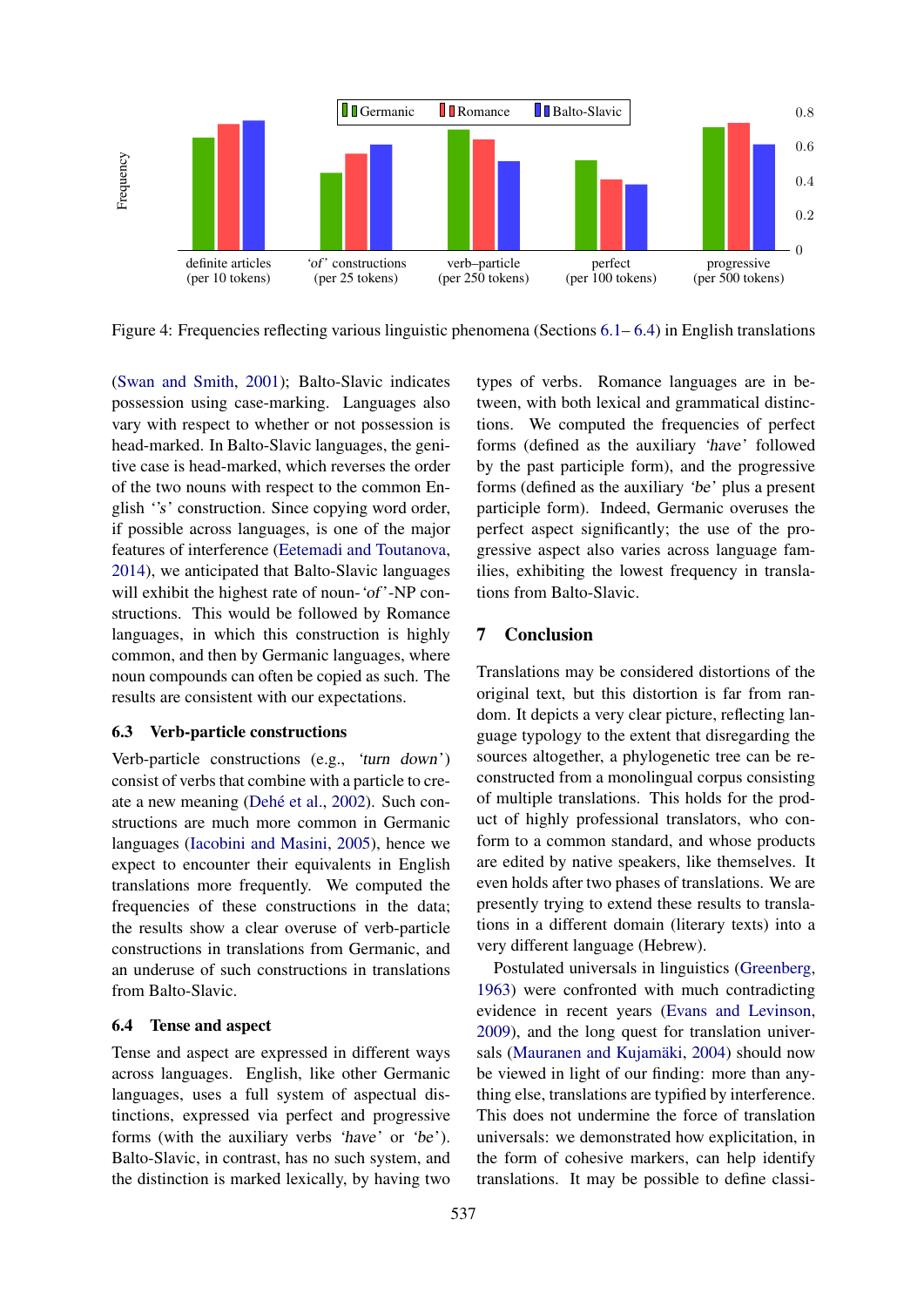

Figure 4: Frequencies reflecting various linguistic phenomena (Sections  $6.1-6.4$ ) in English translations

(Swan and Smith, 2001); Balto-Slavic indicates possession using case-marking. Languages also vary with respect to whether or not possession is head-marked. In Balto-Slavic languages, the genitive case is head-marked, which reverses the order of the two nouns with respect to the common English ''s' construction. Since copying word order, if possible across languages, is one of the major features of interference (Eetemadi and Toutanova, 2014), we anticipated that Balto-Slavic languages will exhibit the highest rate of noun-'of'-NP constructions. This would be followed by Romance languages, in which this construction is highly common, and then by Germanic languages, where noun compounds can often be copied as such. The results are consistent with our expectations.

### 6.3 Verb-particle constructions

Verb-particle constructions (e.g., 'turn down') consist of verbs that combine with a particle to create a new meaning (Dehé et al., 2002). Such constructions are much more common in Germanic languages (Iacobini and Masini, 2005), hence we expect to encounter their equivalents in English translations more frequently. We computed the frequencies of these constructions in the data; the results show a clear overuse of verb-particle constructions in translations from Germanic, and an underuse of such constructions in translations from Balto-Slavic.

### 6.4 Tense and aspect

Tense and aspect are expressed in different ways across languages. English, like other Germanic languages, uses a full system of aspectual distinctions, expressed via perfect and progressive forms (with the auxiliary verbs 'have' or 'be'). Balto-Slavic, in contrast, has no such system, and the distinction is marked lexically, by having two

types of verbs. Romance languages are in between, with both lexical and grammatical distinctions. We computed the frequencies of perfect forms (defined as the auxiliary 'have' followed by the past participle form), and the progressive forms (defined as the auxiliary 'be' plus a present participle form). Indeed, Germanic overuses the perfect aspect significantly; the use of the progressive aspect also varies across language families, exhibiting the lowest frequency in translations from Balto-Slavic.

# 7 Conclusion

Translations may be considered distortions of the original text, but this distortion is far from random. It depicts a very clear picture, reflecting language typology to the extent that disregarding the sources altogether, a phylogenetic tree can be reconstructed from a monolingual corpus consisting of multiple translations. This holds for the product of highly professional translators, who conform to a common standard, and whose products are edited by native speakers, like themselves. It even holds after two phases of translations. We are presently trying to extend these results to translations in a different domain (literary texts) into a very different language (Hebrew).

Postulated universals in linguistics (Greenberg, 1963) were confronted with much contradicting evidence in recent years (Evans and Levinson, 2009), and the long quest for translation universals (Mauranen and Kujamäki, 2004) should now be viewed in light of our finding: more than anything else, translations are typified by interference. This does not undermine the force of translation universals: we demonstrated how explicitation, in the form of cohesive markers, can help identify translations. It may be possible to define classi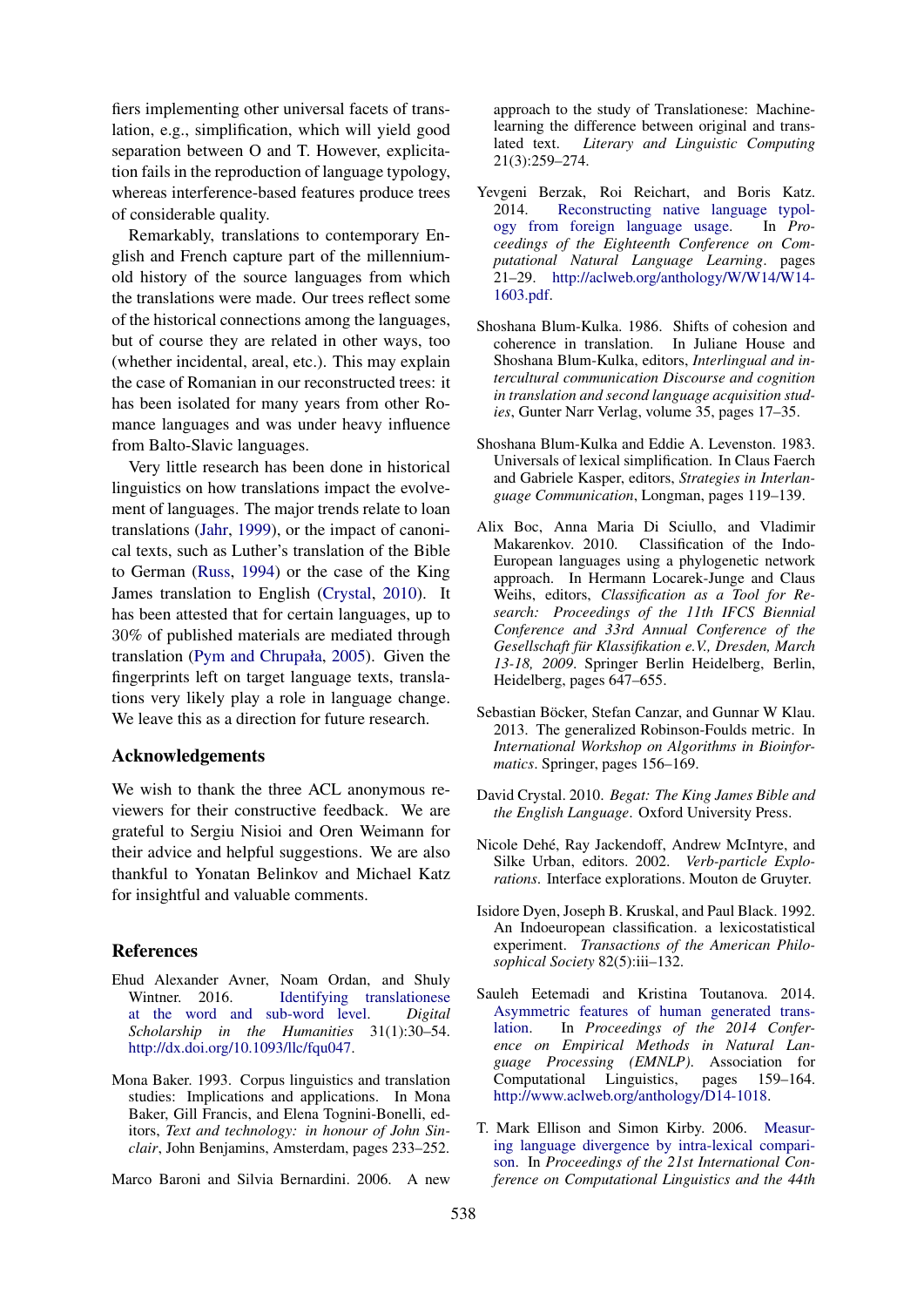fiers implementing other universal facets of translation, e.g., simplification, which will yield good separation between O and T. However, explicitation fails in the reproduction of language typology, whereas interference-based features produce trees of considerable quality.

Remarkably, translations to contemporary English and French capture part of the millenniumold history of the source languages from which the translations were made. Our trees reflect some of the historical connections among the languages, but of course they are related in other ways, too (whether incidental, areal, etc.). This may explain the case of Romanian in our reconstructed trees: it has been isolated for many years from other Romance languages and was under heavy influence from Balto-Slavic languages.

Very little research has been done in historical linguistics on how translations impact the evolvement of languages. The major trends relate to loan translations (Jahr, 1999), or the impact of canonical texts, such as Luther's translation of the Bible to German (Russ, 1994) or the case of the King James translation to English (Crystal, 2010). It has been attested that for certain languages, up to 30% of published materials are mediated through translation (Pym and Chrupała, 2005). Given the fingerprints left on target language texts, translations very likely play a role in language change. We leave this as a direction for future research.

### Acknowledgements

We wish to thank the three ACL anonymous reviewers for their constructive feedback. We are grateful to Sergiu Nisioi and Oren Weimann for their advice and helpful suggestions. We are also thankful to Yonatan Belinkov and Michael Katz for insightful and valuable comments.

### References

- Ehud Alexander Avner, Noam Ordan, and Shuly Wintner. 2016. Identifying translationese at the word and sub-word level. *Digital Scholarship in the Humanities* 31(1):30–54. http://dx.doi.org/10.1093/llc/fqu047.
- Mona Baker. 1993. Corpus linguistics and translation studies: Implications and applications. In Mona Baker, Gill Francis, and Elena Tognini-Bonelli, editors, *Text and technology: in honour of John Sinclair*, John Benjamins, Amsterdam, pages 233–252.

Marco Baroni and Silvia Bernardini. 2006. A new

approach to the study of Translationese: Machinelearning the difference between original and translated text. *Literary and Linguistic Computing* 21(3):259–274.

- Yevgeni Berzak, Roi Reichart, and Boris Katz. 2014. Reconstructing native language typology from foreign language usage. In *Proceedings of the Eighteenth Conference on Computational Natural Language Learning*. pages 21–29. http://aclweb.org/anthology/W/W14/W14- 1603.pdf.
- Shoshana Blum-Kulka. 1986. Shifts of cohesion and coherence in translation. In Juliane House and Shoshana Blum-Kulka, editors, *Interlingual and intercultural communication Discourse and cognition in translation and second language acquisition studies*, Gunter Narr Verlag, volume 35, pages 17–35.
- Shoshana Blum-Kulka and Eddie A. Levenston. 1983. Universals of lexical simplification. In Claus Faerch and Gabriele Kasper, editors, *Strategies in Interlanguage Communication*, Longman, pages 119–139.
- Alix Boc, Anna Maria Di Sciullo, and Vladimir Makarenkov. 2010. Classification of the Indo-European languages using a phylogenetic network approach. In Hermann Locarek-Junge and Claus Weihs, editors, *Classification as a Tool for Research: Proceedings of the 11th IFCS Biennial Conference and 33rd Annual Conference of the Gesellschaft fur Klassifikation e.V., Dresden, March ¨ 13-18, 2009*. Springer Berlin Heidelberg, Berlin, Heidelberg, pages 647–655.
- Sebastian Böcker, Stefan Canzar, and Gunnar W Klau. 2013. The generalized Robinson-Foulds metric. In *International Workshop on Algorithms in Bioinformatics*. Springer, pages 156–169.
- David Crystal. 2010. *Begat: The King James Bible and the English Language*. Oxford University Press.
- Nicole Dehé, Ray Jackendoff, Andrew McIntyre, and Silke Urban, editors. 2002. *Verb-particle Explorations*. Interface explorations. Mouton de Gruyter.
- Isidore Dyen, Joseph B. Kruskal, and Paul Black. 1992. An Indoeuropean classification. a lexicostatistical experiment. *Transactions of the American Philosophical Society* 82(5):iii–132.
- Sauleh Eetemadi and Kristina Toutanova. 2014. Asymmetric features of human generated translation. In *Proceedings of the 2014 Conference on Empirical Methods in Natural Language Processing (EMNLP)*. Association for Computational Linguistics, pages 159–164. http://www.aclweb.org/anthology/D14-1018.
- T. Mark Ellison and Simon Kirby. 2006. Measuring language divergence by intra-lexical comparison. In *Proceedings of the 21st International Conference on Computational Linguistics and the 44th*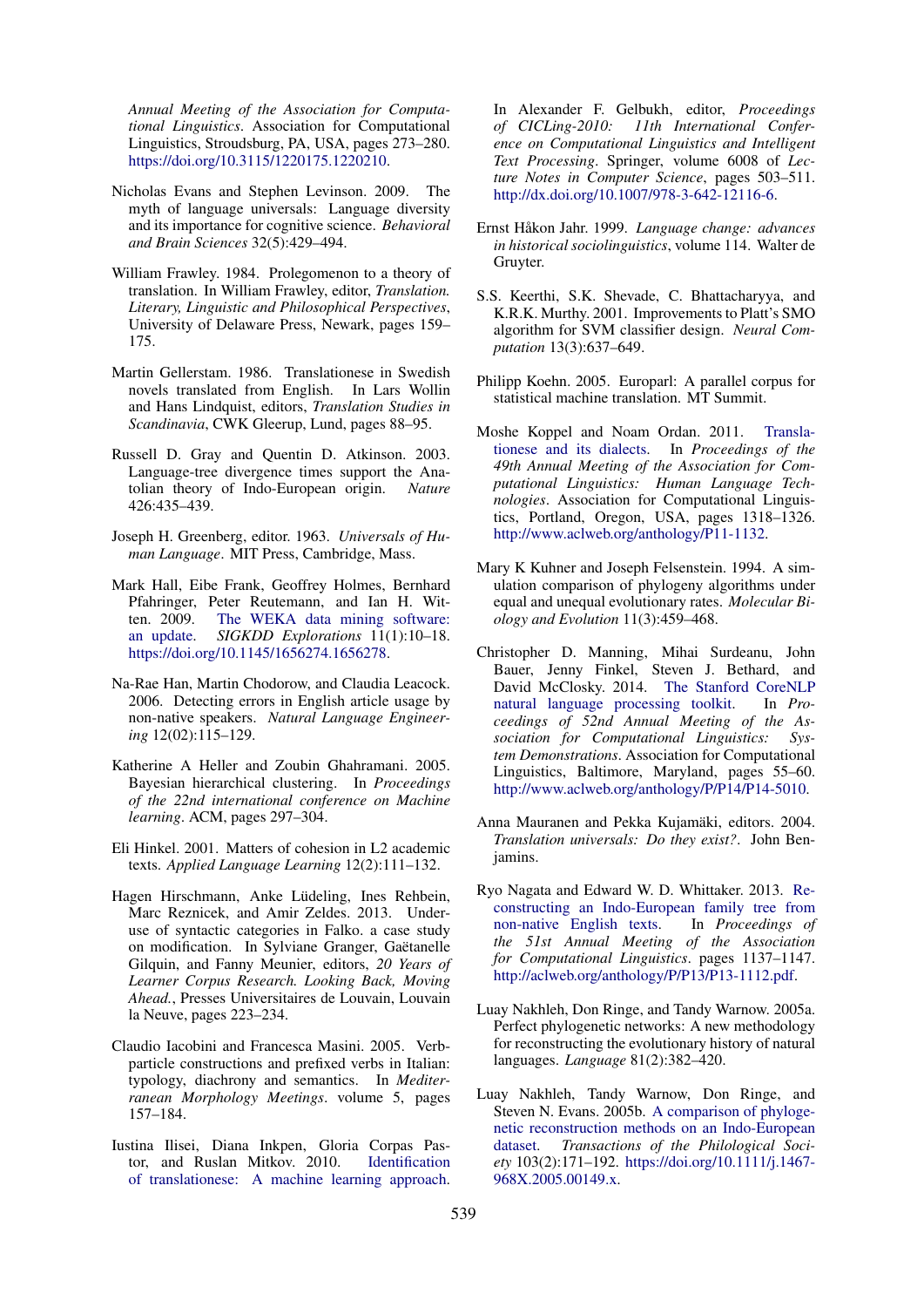*Annual Meeting of the Association for Computational Linguistics*. Association for Computational Linguistics, Stroudsburg, PA, USA, pages 273–280. https://doi.org/10.3115/1220175.1220210.

- Nicholas Evans and Stephen Levinson. 2009. The myth of language universals: Language diversity and its importance for cognitive science. *Behavioral and Brain Sciences* 32(5):429–494.
- William Frawley. 1984. Prolegomenon to a theory of translation. In William Frawley, editor, *Translation. Literary, Linguistic and Philosophical Perspectives*, University of Delaware Press, Newark, pages 159– 175.
- Martin Gellerstam. 1986. Translationese in Swedish novels translated from English. In Lars Wollin and Hans Lindquist, editors, *Translation Studies in Scandinavia*, CWK Gleerup, Lund, pages 88–95.
- Russell D. Gray and Quentin D. Atkinson. 2003. Language-tree divergence times support the Anatolian theory of Indo-European origin. *Nature* 426:435–439.
- Joseph H. Greenberg, editor. 1963. *Universals of Human Language*. MIT Press, Cambridge, Mass.
- Mark Hall, Eibe Frank, Geoffrey Holmes, Bernhard Pfahringer, Peter Reutemann, and Ian H. Witten. 2009. The WEKA data mining software: an update. *SIGKDD Explorations* 11(1):10–18. https://doi.org/10.1145/1656274.1656278.
- Na-Rae Han, Martin Chodorow, and Claudia Leacock. 2006. Detecting errors in English article usage by non-native speakers. *Natural Language Engineering* 12(02):115–129.
- Katherine A Heller and Zoubin Ghahramani. 2005. Bayesian hierarchical clustering. In *Proceedings of the 22nd international conference on Machine learning*. ACM, pages 297–304.
- Eli Hinkel. 2001. Matters of cohesion in L2 academic texts. *Applied Language Learning* 12(2):111–132.
- Hagen Hirschmann, Anke Lüdeling, Ines Rehbein, Marc Reznicek, and Amir Zeldes. 2013. Underuse of syntactic categories in Falko. a case study on modification. In Sylviane Granger, Gaëtanelle Gilquin, and Fanny Meunier, editors, *20 Years of Learner Corpus Research. Looking Back, Moving Ahead.*, Presses Universitaires de Louvain, Louvain la Neuve, pages 223–234.
- Claudio Iacobini and Francesca Masini. 2005. Verbparticle constructions and prefixed verbs in Italian: typology, diachrony and semantics. In *Mediterranean Morphology Meetings*. volume 5, pages 157–184.
- Iustina Ilisei, Diana Inkpen, Gloria Corpas Pastor, and Ruslan Mitkov. 2010. Identification of translationese: A machine learning approach.

In Alexander F. Gelbukh, editor, *Proceedings of CICLing-2010: 11th International Conference on Computational Linguistics and Intelligent Text Processing*. Springer, volume 6008 of *Lecture Notes in Computer Science*, pages 503–511. http://dx.doi.org/10.1007/978-3-642-12116-6.

- Ernst Håkon Jahr. 1999. Language change: advances *in historical sociolinguistics*, volume 114. Walter de Gruyter.
- S.S. Keerthi, S.K. Shevade, C. Bhattacharyya, and K.R.K. Murthy. 2001. Improvements to Platt's SMO algorithm for SVM classifier design. *Neural Computation* 13(3):637–649.
- Philipp Koehn. 2005. Europarl: A parallel corpus for statistical machine translation. MT Summit.
- Moshe Koppel and Noam Ordan. 2011. Translationese and its dialects. In *Proceedings of the 49th Annual Meeting of the Association for Computational Linguistics: Human Language Technologies*. Association for Computational Linguistics, Portland, Oregon, USA, pages 1318–1326. http://www.aclweb.org/anthology/P11-1132.
- Mary K Kuhner and Joseph Felsenstein. 1994. A simulation comparison of phylogeny algorithms under equal and unequal evolutionary rates. *Molecular Biology and Evolution* 11(3):459–468.
- Christopher D. Manning, Mihai Surdeanu, John Bauer, Jenny Finkel, Steven J. Bethard, and David McClosky. 2014. The Stanford CoreNLP natural language processing toolkit. In *Proceedings of 52nd Annual Meeting of the Association for Computational Linguistics: System Demonstrations*. Association for Computational Linguistics, Baltimore, Maryland, pages 55–60. http://www.aclweb.org/anthology/P/P14/P14-5010.
- Anna Mauranen and Pekka Kujamäki, editors. 2004. *Translation universals: Do they exist?*. John Benjamins.
- Ryo Nagata and Edward W. D. Whittaker. 2013. Reconstructing an Indo-European family tree from non-native English texts. In *Proceedings of the 51st Annual Meeting of the Association for Computational Linguistics*. pages 1137–1147. http://aclweb.org/anthology/P/P13/P13-1112.pdf.
- Luay Nakhleh, Don Ringe, and Tandy Warnow. 2005a. Perfect phylogenetic networks: A new methodology for reconstructing the evolutionary history of natural languages. *Language* 81(2):382–420.
- Luay Nakhleh, Tandy Warnow, Don Ringe, and Steven N. Evans. 2005b. A comparison of phylogenetic reconstruction methods on an Indo-European dataset. *Transactions of the Philological Society* 103(2):171–192. https://doi.org/10.1111/j.1467- 968X.2005.00149.x.